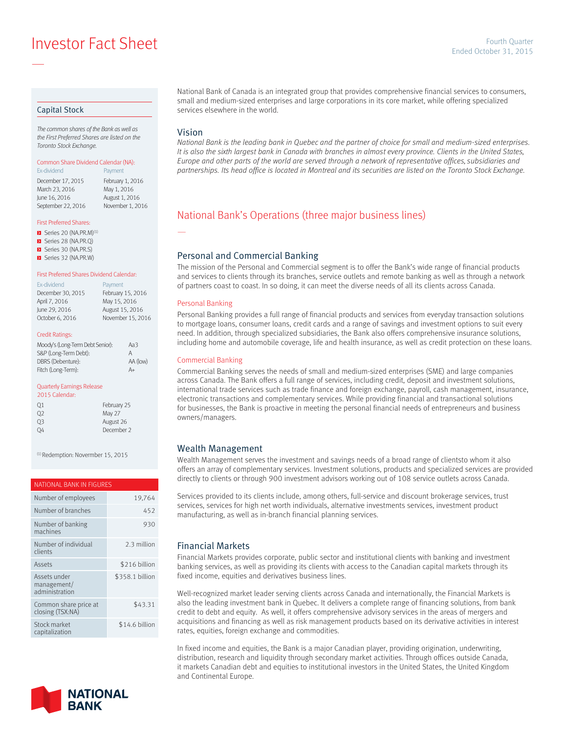**Investor Fact Sheet Ended October 31, 2015** Fourth Quarter

### Capital Stock

—

*The common shares of the Bank as well as the First Preferred Shares are listed on the Toronto Stock Exchange.*

# Common Share Dividend Calendar (NA):

Ex-dividend **Payment** December 17, 2015 February 1, 2016<br>March 23, 2016 May 1, 2016 March 23, 2016 June 16, 2016 August 1, 2016 September 22, 2016 November 1, 2016

# First Preferred Shares:

- $\triangleright$  Series 20 (NA.PR.M)<sup>(1)</sup>
- Series 28 (NA.PR.Q)
- Series 30 (NA.PR.S)
- Series 32 (NA.PR.W)

#### First Preferred Shares Dividend Calendar:

| Ex-dividend       | Payment           |
|-------------------|-------------------|
| December 30, 2015 | February 15, 2016 |
| April 7, 2016     | May 15, 2016      |
| June 29, 2016     | August 15, 2016   |
| October 6, 2016   | November 15, 2016 |
|                   |                   |

#### Credit Ratings:

| Moody's (Long-Term Debt Senior): | АаЗ      |
|----------------------------------|----------|
| S&P (Long-Term Debt):            | А        |
| DBRS (Debenture):                | AA (low) |
| Fitch (Long-Term):               | A+       |

#### Quarterly Earnings Release

| 2015 Calendar: |             |
|----------------|-------------|
| 01             | February 25 |
| O <sub>2</sub> | May 27      |
| 03             | August 26   |
| O <sub>4</sub> | December 2  |

(1) Redemption: Novermber 15, 2015

#### NATIONAL BANK IN FIGURES

| Number of employees                           | 19,764          |
|-----------------------------------------------|-----------------|
| Number of branches                            | 452             |
| Number of banking<br>machines                 | 930             |
| Number of individual<br>clients               | 2.3 million     |
| Assets                                        | \$216 billion   |
| Assets under<br>management/<br>administration | \$358.1 billion |
| Common share price at<br>closing (TSX:NA)     | \$43.31         |
| Stock market<br>capitalization                | \$14.6 billion  |



National Bank of Canada is an integrated group that provides comprehensive financial services to consumers, small and medium-sized enterprises and large corporations in its core market, while offering specialized services elsewhere in the world.

### Vision

—

*National Bank is the leading bank in Quebec and the partner of choice for small and medium-sized enterprises.*  It is also the sixth largest bank in Canada with branches in almost every province. Clients in the United States, *Europe and other parts of the world are served through a network of representative offices, subsidiaries and partnerships. Its head office is located in Montreal and its securities are listed on the Toronto Stock Exchange.*

# National Bank's Operations (three major business lines)

### Personal and Commercial Banking

The mission of the Personal and Commercial segment is to offer the Bank's wide range of financial products and services to clients through its branches, service outlets and remote banking as well as through a network of partners coast to coast. In so doing, it can meet the diverse needs of all its clients across Canada.

#### Personal Banking

Personal Banking provides a full range of financial products and services from everyday transaction solutions to mortgage loans, consumer loans, credit cards and a range of savings and investment options to suit every need. In addition, through specialized subsidiaries, the Bank also offers comprehensive insurance solutions, including home and automobile coverage, life and health insurance, as well as credit protection on these loans.

### Commercial Banking

Commercial Banking serves the needs of small and medium-sized enterprises (SME) and large companies across Canada. The Bank offers a full range of services, including credit, deposit and investment solutions, international trade services such as trade finance and foreign exchange, payroll, cash management, insurance, electronic transactions and complementary services. While providing financial and transactional solutions for businesses, the Bank is proactive in meeting the personal financial needs of entrepreneurs and business owners/managers.

### Wealth Management

Wealth Management serves the investment and savings needs of a broad range of clientsto whom it also offers an array of complementary services. Investment solutions, products and specialized services are provided directly to clients or through 900 investment advisors working out of 108 service outlets across Canada.

Services provided to its clients include, among others, full-service and discount brokerage services, trust services, services for high net worth individuals, alternative investments services, investment product manufacturing, as well as in-branch financial planning services.

### Financial Markets

Financial Markets provides corporate, public sector and institutional clients with banking and investment banking services, as well as providing its clients with access to the Canadian capital markets through its fixed income, equities and derivatives business lines.

Well-recognized market leader serving clients across Canada and internationally, the Financial Markets is also the leading investment bank in Quebec. It delivers a complete range of financing solutions, from bank credit to debt and equity. As well, it offers comprehensive advisory services in the areas of mergers and acquisitions and financing as well as risk management products based on its derivative activities in interest rates, equities, foreign exchange and commodities.

In fixed income and equities, the Bank is a major Canadian player, providing origination, underwriting, distribution, research and liquidity through secondary market activities. Through offices outside Canada, it markets Canadian debt and equities to institutional investors in the United States, the United Kingdom and Continental Europe.